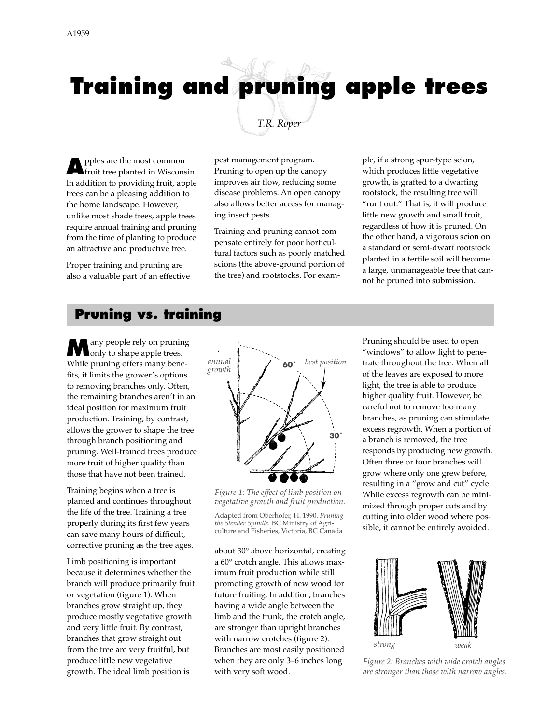# **Training and pruning apple trees** *T.R. Roper*

**A**pples are the most common fruit tree planted in Wisconsin. In addition to providing fruit, apple trees can be a pleasing addition to the home landscape. However, unlike most shade trees, apple trees require annual training and pruning from the time of planting to produce an attractive and productive tree.

Proper training and pruning are also a valuable part of an effective pest management program. Pruning to open up the canopy improves air flow, reducing some disease problems. An open canopy also allows better access for managing insect pests.

Training and pruning cannot compensate entirely for poor horticultural factors such as poorly matched scions (the above-ground portion of the tree) and rootstocks. For exam-

ple, if a strong spur-type scion, which produces little vegetative growth, is grafted to a dwarfing rootstock, the resulting tree will "runt out." That is, it will produce little new growth and small fruit, regardless of how it is pruned. On the other hand, a vigorous scion on a standard or semi-dwarf rootstock planted in a fertile soil will become a large, unmanageable tree that cannot be pruned into submission.

#### **Pruning vs. training**

**M**any people rely on pruning<br>only to shape apple trees. While pruning offers many benefits, it limits the grower's options to removing branches only. Often, the remaining branches aren't in an ideal position for maximum fruit production. Training, by contrast, allows the grower to shape the tree through branch positioning and pruning. Well-trained trees produce more fruit of higher quality than those that have not been trained.

Training begins when a tree is planted and continues throughout the life of the tree. Training a tree properly during its first few years can save many hours of difficult, corrective pruning as the tree ages.

Limb positioning is important because it determines whether the branch will produce primarily fruit or vegetation (figure 1). When branches grow straight up, they produce mostly vegetative growth and very little fruit. By contrast, branches that grow straight out from the tree are very fruitful, but produce little new vegetative growth. The ideal limb position is



*Figure 1: The effect of limb position on vegetative growth and fruit production.*

Adapted from Oberhofer, H. 1990. *Pruning the Slender Spindle.* BC Ministry of Agriculture and Fisheries, Victoria, BC Canada

about 30° above horizontal, creating a 60° crotch angle. This allows maximum fruit production while still promoting growth of new wood for future fruiting. In addition, branches having a wide angle between the limb and the trunk, the crotch angle, are stronger than upright branches with narrow crotches (figure 2). Branches are most easily positioned when they are only 3–6 inches long with very soft wood.

Pruning should be used to open "windows" to allow light to penetrate throughout the tree. When all of the leaves are exposed to more light, the tree is able to produce higher quality fruit. However, be careful not to remove too many branches, as pruning can stimulate excess regrowth. When a portion of a branch is removed, the tree responds by producing new growth. Often three or four branches will grow where only one grew before, resulting in a "grow and cut" cycle. While excess regrowth can be minimized through proper cuts and by cutting into older wood where possible, it cannot be entirely avoided.



*Figure 2: Branches with wide crotch angles are stronger than those with narrow angles.*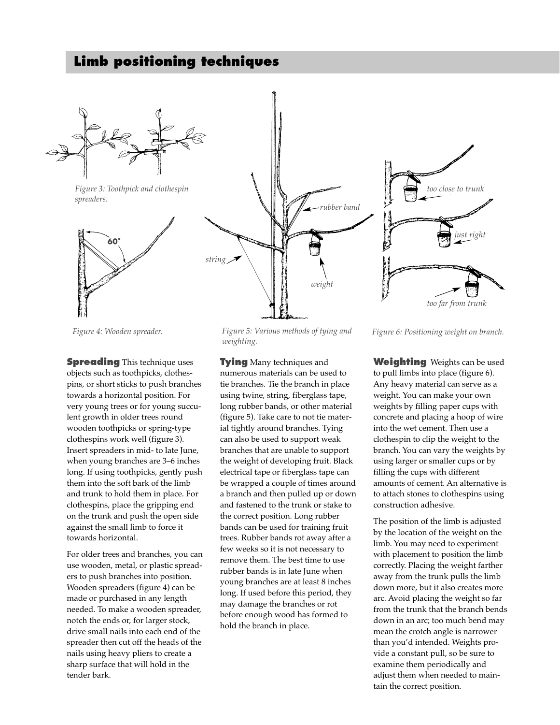#### **Limb positioning techniques**



*Figure 3: Toothpick and clothespin spreaders.*







**Spreading** This technique uses objects such as toothpicks, clothespins, or short sticks to push branches towards a horizontal position. For very young trees or for young succulent growth in older trees round wooden toothpicks or spring-type clothespins work well (figure 3). Insert spreaders in mid- to late June, when young branches are 3–6 inches long. If using toothpicks, gently push them into the soft bark of the limb and trunk to hold them in place. For clothespins, place the gripping end on the trunk and push the open side against the small limb to force it towards horizontal.

For older trees and branches, you can use wooden, metal, or plastic spreaders to push branches into position. Wooden spreaders (figure 4) can be made or purchased in any length needed. To make a wooden spreader, notch the ends or, for larger stock, drive small nails into each end of the spreader then cut off the heads of the nails using heavy pliers to create a sharp surface that will hold in the tender bark.

*Figure 4: Wooden spreader. Figure 5: Various methods of tying and weighting.*

**Tying** Many techniques and numerous materials can be used to tie branches. Tie the branch in place using twine, string, fiberglass tape, long rubber bands, or other material (figure 5). Take care to not tie material tightly around branches. Tying can also be used to support weak branches that are unable to support the weight of developing fruit. Black electrical tape or fiberglass tape can be wrapped a couple of times around a branch and then pulled up or down and fastened to the trunk or stake to the correct position. Long rubber bands can be used for training fruit trees. Rubber bands rot away after a few weeks so it is not necessary to remove them. The best time to use rubber bands is in late June when young branches are at least 8 inches long. If used before this period, they may damage the branches or rot before enough wood has formed to hold the branch in place.

*Figure 6: Positioning weight on branch.*

**Weighting** Weights can be used to pull limbs into place (figure 6). Any heavy material can serve as a weight. You can make your own weights by filling paper cups with concrete and placing a hoop of wire into the wet cement. Then use a clothespin to clip the weight to the branch. You can vary the weights by using larger or smaller cups or by filling the cups with different amounts of cement. An alternative is to attach stones to clothespins using construction adhesive.

The position of the limb is adjusted by the location of the weight on the limb. You may need to experiment with placement to position the limb correctly. Placing the weight farther away from the trunk pulls the limb down more, but it also creates more arc. Avoid placing the weight so far from the trunk that the branch bends down in an arc; too much bend may mean the crotch angle is narrower than you'd intended. Weights provide a constant pull, so be sure to examine them periodically and adjust them when needed to maintain the correct position.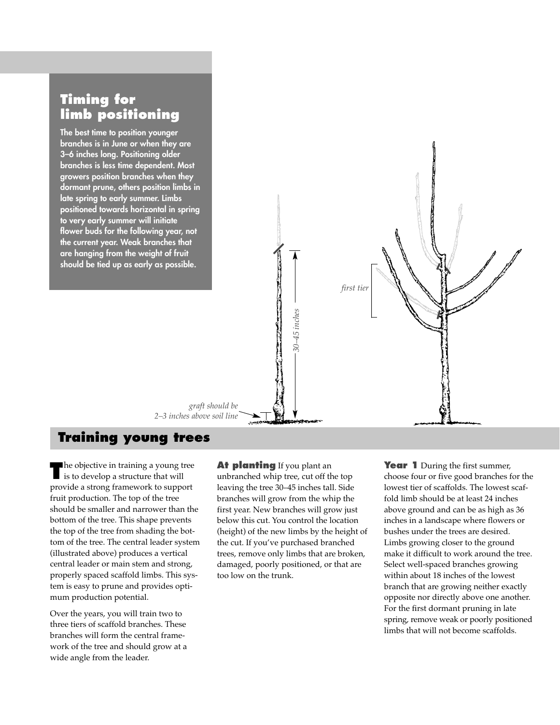### **Timing for limb positioning**

**The best time to position younger branches is in June or when they are 3–6 inches long. Positioning older branches is less time dependent. Most growers position branches when they dormant prune, others position limbs in late spring to early summer. Limbs positioned towards horizontal in spring to very early summer will initiate flower buds for the following year, not the current year. Weak branches that are hanging from the weight of fruit should be tied up as early as possible.**



#### **Training young trees**

**The objective in training a young tree** is to develop a structure that will provide a strong framework to support fruit production. The top of the tree should be smaller and narrower than the bottom of the tree. This shape prevents the top of the tree from shading the bottom of the tree. The central leader system (illustrated above) produces a vertical central leader or main stem and strong, properly spaced scaffold limbs. This system is easy to prune and provides optimum production potential.

Over the years, you will train two to three tiers of scaffold branches. These branches will form the central framework of the tree and should grow at a wide angle from the leader.

#### **At planting** If you plant an

unbranched whip tree, cut off the top leaving the tree 30–45 inches tall. Side branches will grow from the whip the first year. New branches will grow just below this cut. You control the location (height) of the new limbs by the height of the cut. If you've purchased branched trees, remove only limbs that are broken, damaged, poorly positioned, or that are too low on the trunk.

**Year 1** During the first summer, choose four or five good branches for the lowest tier of scaffolds. The lowest scaffold limb should be at least 24 inches above ground and can be as high as 36 inches in a landscape where flowers or bushes under the trees are desired. Limbs growing closer to the ground make it difficult to work around the tree. Select well-spaced branches growing within about 18 inches of the lowest branch that are growing neither exactly opposite nor directly above one another. For the first dormant pruning in late spring, remove weak or poorly positioned limbs that will not become scaffolds.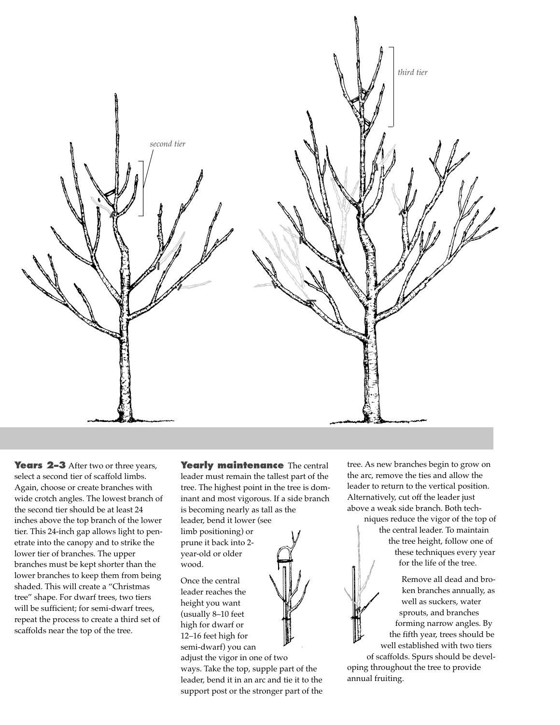

Years 2–3 After two or three years, select a second tier of scaffold limbs. Again, choose or create branches with wide crotch angles. The lowest branch of the second tier should be at least 24 inches above the top branch of the lower tier. This 24-inch gap allows light to penetrate into the canopy and to strike the lower tier of branches. The upper branches must be kept shorter than the lower branches to keep them from being shaded. This will create a "Christmas tree" shape. For dwarf trees, two tiers will be sufficient; for semi-dwarf trees, repeat the process to create a third set of scaffolds near the top of the tree.

**Yearly maintenance** The central leader must remain the tallest part of the tree. The highest point in the tree is dominant and most vigorous. If a side branch is becoming nearly as tall as the

leader, bend it lower (see limb positioning) or prune it back into 2 year-old or older wood.

Once the central leader reaches the height you want (usually 8–10 feet high for dwarf or 12–16 feet high for semi-dwarf) you can

adjust the vigor in one of two ways. Take the top, supple part of the leader, bend it in an arc and tie it to the support post or the stronger part of the tree. As new branches begin to grow on the arc, remove the ties and allow the leader to return to the vertical position. Alternatively, cut off the leader just above a weak side branch. Both tech-

niques reduce the vigor of the top of the central leader. To maintain the tree height, follow one of these techniques every year for the life of the tree.

Remove all dead and broken branches annually, as well as suckers, water sprouts, and branches forming narrow angles. By the fifth year, trees should be well established with two tiers of scaffolds. Spurs should be developing throughout the tree to provide annual fruiting.

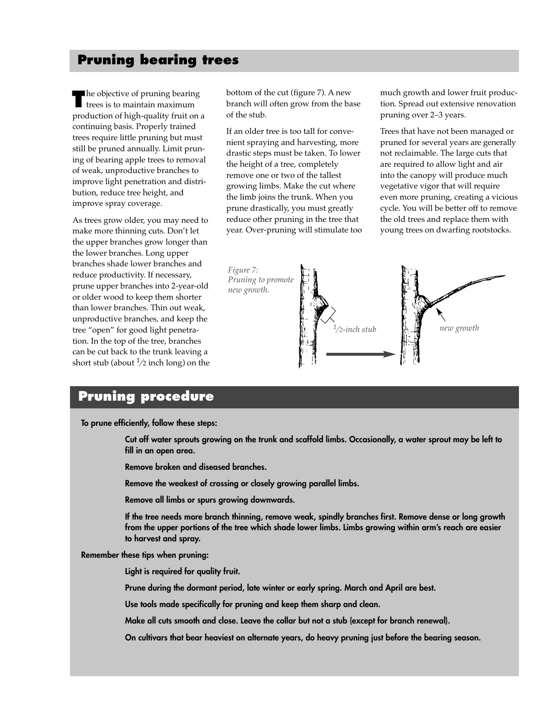#### **Pruning bearing trees**

**The objective of pruning bearing**<br>trees is to maintain maximum production of high-quality fruit on a continuing basis. Properly trained trees require little pruning but must still be pruned annually. Limit pruning of bearing apple trees to removal of weak, unproductive branches to improve light penetration and distribution, reduce tree height, and improve spray coverage.

As trees grow older, you may need to make more thinning cuts. Don't let the upper branches grow longer than the lower branches. Long upper branches shade lower branches and reduce productivity. If necessary, prune upper branches into 2-year-old or older wood to keep them shorter than lower branches. Thin out weak, unproductive branches, and keep the tree "open" for good light penetration. In the top of the tree, branches can be cut back to the trunk leaving a short stub (about  $\frac{1}{2}$  inch long) on the bottom of the cut (figure 7). A new branch will often grow from the base of the stub.

If an older tree is too tall for convenient spraying and harvesting, more drastic steps must be taken. To lower the height of a tree, completely remove one or two of the tallest growing limbs. Make the cut where the limb joins the trunk. When you prune drastically, you must greatly reduce other pruning in the tree that year. Over-pruning will stimulate too much growth and lower fruit production. Spread out extensive renovation pruning over 2–3 years.

Trees that have not been managed or pruned for several years are generally not reclaimable. The large cuts that are required to allow light and air into the canopy will produce much vegetative vigor that will require even more pruning, creating a vicious cycle. You will be better off to remove the old trees and replace them with young trees on dwarfing rootstocks.



#### **Pruning procedure**

**To prune efficiently, follow these steps:**

**Cut off water sprouts growing on the trunk and scaffold limbs. Occasionally, a water sprout may be left to fill in an open area.**

**Remove broken and diseased branches.**

**Remove the weakest of crossing or closely growing parallel limbs.**

**Remove all limbs or spurs growing downwards.**

**If the tree needs more branch thinning, remove weak, spindly branches first. Remove dense or long growth from the upper portions of the tree which shade lower limbs. Limbs growing within arm's reach are easier to harvest and spray.**

**Remember these tips when pruning:**

**Light is required for quality fruit.**

**Prune during the dormant period, late winter or early spring. March and April are best.**

**Use tools made specifically for pruning and keep them sharp and clean.**

**Make all cuts smooth and close. Leave the collar but not a stub (except for branch renewal).**

**On cultivars that bear heaviest on alternate years, do heavy pruning just before the bearing season.**